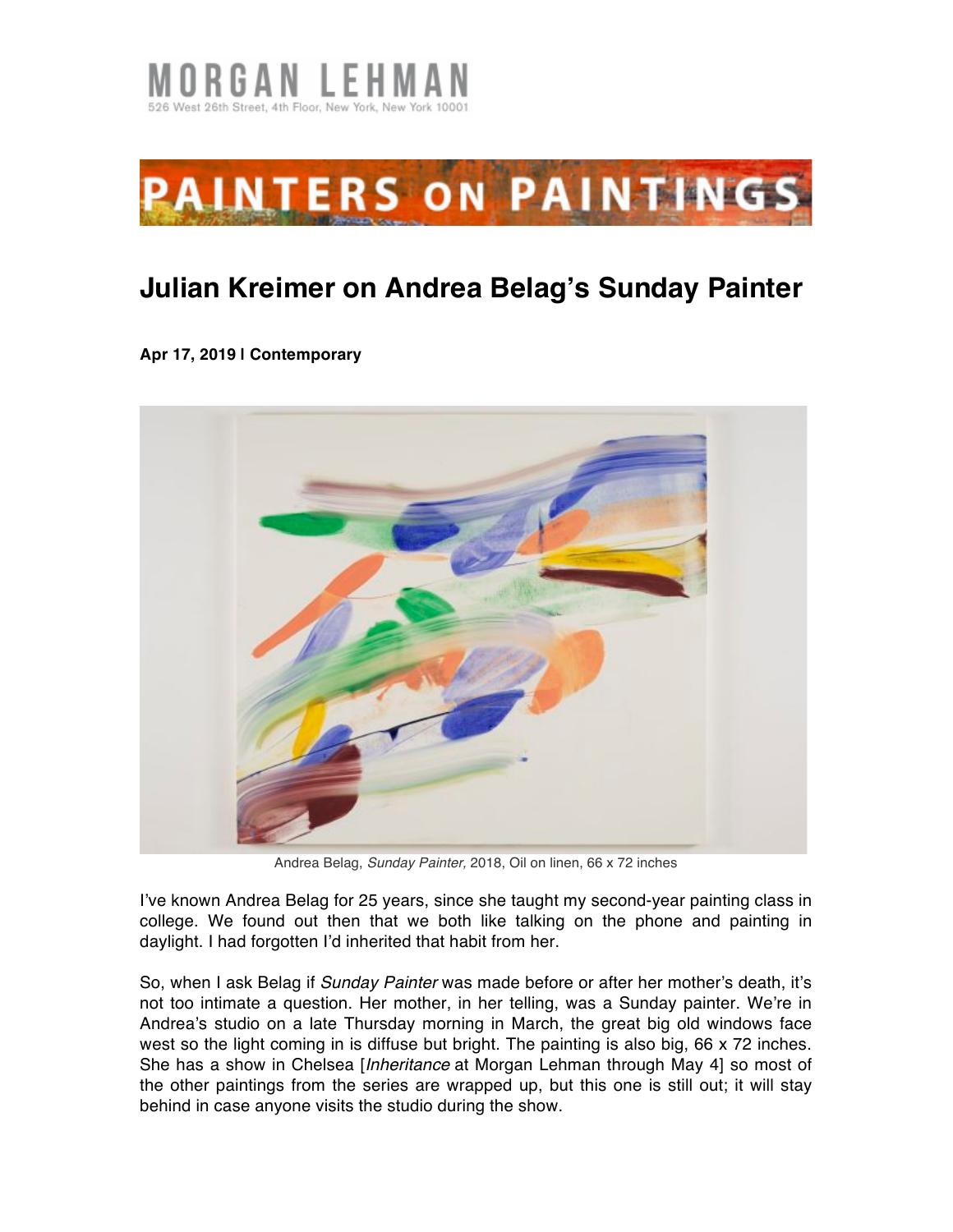



## **Julian Kreimer on Andrea Belag's Sunday Painter**

**Apr 17, 2019 | Contemporary**



Andrea Belag, *Sunday Painter,* 2018, Oil on linen, 66 x 72 inches

I've known Andrea Belag for 25 years, since she taught my second-year painting class in college. We found out then that we both like talking on the phone and painting in daylight. I had forgotten I'd inherited that habit from her.

So, when I ask Belag if *Sunday Painter* was made before or after her mother's death, it's not too intimate a question. Her mother, in her telling, was a Sunday painter. We're in Andrea's studio on a late Thursday morning in March, the great big old windows face west so the light coming in is diffuse but bright. The painting is also big, 66 x 72 inches. She has a show in Chelsea [*Inheritance* at Morgan Lehman through May 4] so most of the other paintings from the series are wrapped up, but this one is still out; it will stay behind in case anyone visits the studio during the show.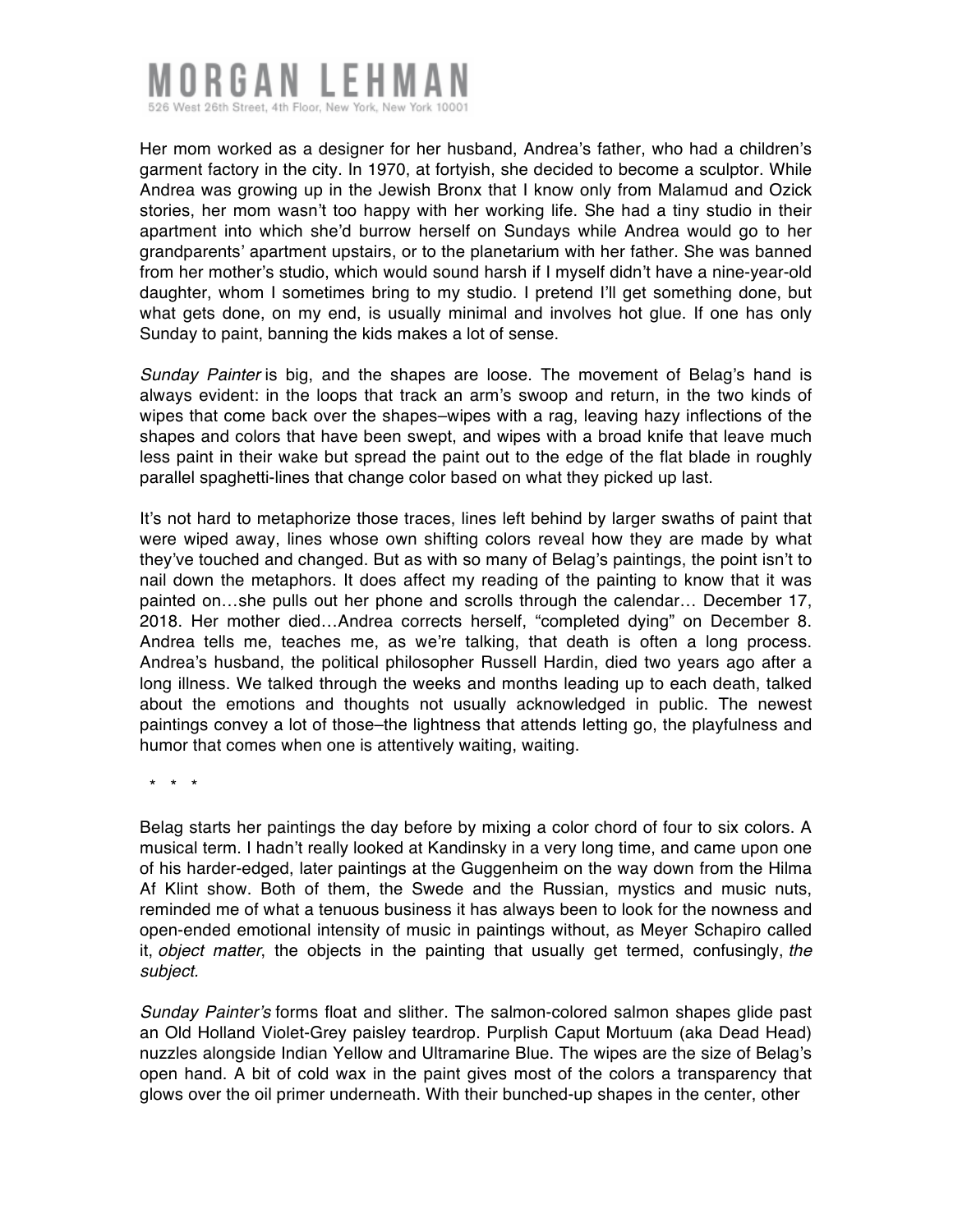## IRGAN LEHI 526 West 26th Street, 4th Floor, New York, New York 10001

Her mom worked as a designer for her husband, Andrea's father, who had a children's garment factory in the city. In 1970, at fortyish, she decided to become a sculptor. While Andrea was growing up in the Jewish Bronx that I know only from Malamud and Ozick stories, her mom wasn't too happy with her working life. She had a tiny studio in their apartment into which she'd burrow herself on Sundays while Andrea would go to her grandparents' apartment upstairs, or to the planetarium with her father. She was banned from her mother's studio, which would sound harsh if I myself didn't have a nine-year-old daughter, whom I sometimes bring to my studio. I pretend I'll get something done, but what gets done, on my end, is usually minimal and involves hot glue. If one has only Sunday to paint, banning the kids makes a lot of sense.

*Sunday Painter* is big, and the shapes are loose. The movement of Belag's hand is always evident: in the loops that track an arm's swoop and return, in the two kinds of wipes that come back over the shapes–wipes with a rag, leaving hazy inflections of the shapes and colors that have been swept, and wipes with a broad knife that leave much less paint in their wake but spread the paint out to the edge of the flat blade in roughly parallel spaghetti-lines that change color based on what they picked up last.

It's not hard to metaphorize those traces, lines left behind by larger swaths of paint that were wiped away, lines whose own shifting colors reveal how they are made by what they've touched and changed. But as with so many of Belag's paintings, the point isn't to nail down the metaphors. It does affect my reading of the painting to know that it was painted on…she pulls out her phone and scrolls through the calendar… December 17, 2018. Her mother died…Andrea corrects herself, "completed dying" on December 8. Andrea tells me, teaches me, as we're talking, that death is often a long process. Andrea's husband, the political philosopher Russell Hardin, died two years ago after a long illness. We talked through the weeks and months leading up to each death, talked about the emotions and thoughts not usually acknowledged in public. The newest paintings convey a lot of those–the lightness that attends letting go, the playfulness and humor that comes when one is attentively waiting, waiting.

\* \* \*

Belag starts her paintings the day before by mixing a color chord of four to six colors. A musical term. I hadn't really looked at Kandinsky in a very long time, and came upon one of his harder-edged, later paintings at the Guggenheim on the way down from the Hilma Af Klint show. Both of them, the Swede and the Russian, mystics and music nuts, reminded me of what a tenuous business it has always been to look for the nowness and open-ended emotional intensity of music in paintings without, as Meyer Schapiro called it, *object matter*, the objects in the painting that usually get termed, confusingly, *the subject.*

*Sunday Painter's* forms float and slither. The salmon-colored salmon shapes glide past an Old Holland Violet-Grey paisley teardrop. Purplish Caput Mortuum (aka Dead Head) nuzzles alongside Indian Yellow and Ultramarine Blue. The wipes are the size of Belag's open hand. A bit of cold wax in the paint gives most of the colors a transparency that glows over the oil primer underneath. With their bunched-up shapes in the center, other